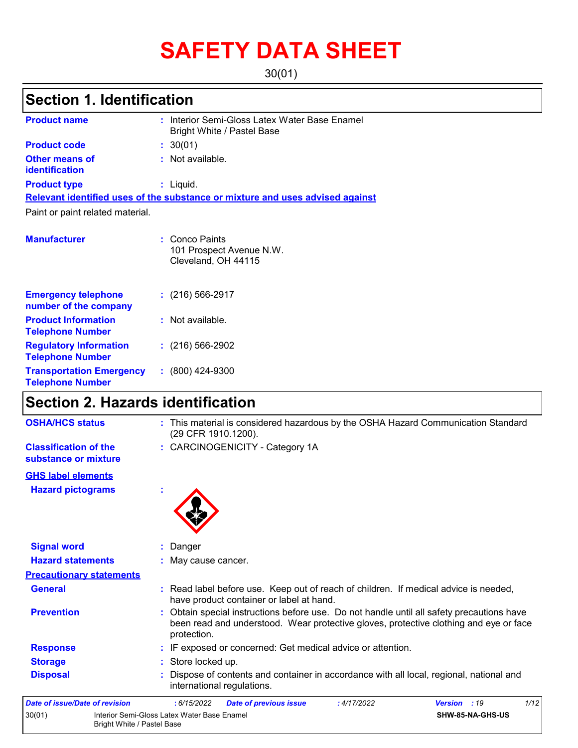# **SAFETY DATA SHEET**

30(01)

## **Section 1. Identification**

| <b>Product name</b>                                   | : Interior Semi-Gloss Latex Water Base Enamel<br><b>Bright White / Pastel Base</b> |
|-------------------------------------------------------|------------------------------------------------------------------------------------|
| <b>Product code</b>                                   | : 30(01)                                                                           |
| <b>Other means of</b><br>identification               | $:$ Not available.                                                                 |
| <b>Product type</b>                                   | : Liquid.                                                                          |
|                                                       | Relevant identified uses of the substance or mixture and uses advised against      |
| Paint or paint related material.                      |                                                                                    |
|                                                       |                                                                                    |
| <b>Manufacturer</b>                                   | : Conco Paints<br>101 Prospect Avenue N.W.<br>Cleveland, OH 44115                  |
|                                                       |                                                                                    |
| <b>Emergency telephone</b><br>number of the company   | $: (216) 566 - 2917$                                                               |
| <b>Product Information</b><br><b>Telephone Number</b> | : Not available.                                                                   |
| <b>Regulatory Information</b>                         | $\div$ (216) 566-2902                                                              |

| <b>Telephone Number</b>                                    |                        |
|------------------------------------------------------------|------------------------|
| <b>Transportation Emergency</b><br><b>Telephone Number</b> | $\cdot$ (800) 424-9300 |

## **Section 2. Hazards identification**

| <b>OSHA/HCS status</b>                               | : This material is considered hazardous by the OSHA Hazard Communication Standard<br>(29 CFR 1910.1200).                                                                                          |
|------------------------------------------------------|---------------------------------------------------------------------------------------------------------------------------------------------------------------------------------------------------|
| <b>Classification of the</b><br>substance or mixture | : CARCINOGENICITY - Category 1A                                                                                                                                                                   |
| <b>GHS label elements</b>                            |                                                                                                                                                                                                   |
| <b>Hazard pictograms</b>                             |                                                                                                                                                                                                   |
| <b>Signal word</b>                                   | Danger                                                                                                                                                                                            |
| <b>Hazard statements</b>                             | May cause cancer.                                                                                                                                                                                 |
| <b>Precautionary statements</b>                      |                                                                                                                                                                                                   |
| <b>General</b>                                       | : Read label before use. Keep out of reach of children. If medical advice is needed,<br>have product container or label at hand.                                                                  |
| <b>Prevention</b>                                    | : Obtain special instructions before use. Do not handle until all safety precautions have<br>been read and understood. Wear protective gloves, protective clothing and eye or face<br>protection. |
| <b>Response</b>                                      | IF exposed or concerned: Get medical advice or attention.                                                                                                                                         |
| <b>Storage</b>                                       | Store locked up.                                                                                                                                                                                  |
| <b>Disposal</b>                                      | Dispose of contents and container in accordance with all local, regional, national and<br>international regulations.                                                                              |
| Date of issue/Date of revision                       | 1/12<br>: 6/15/2022<br>: 4/17/2022<br>Version : 19<br><b>Date of previous issue</b>                                                                                                               |
| 30(01)                                               | Interior Semi-Gloss Latex Water Base Enamel<br>SHW-85-NA-GHS-US<br><b>Bright White / Pastel Base</b>                                                                                              |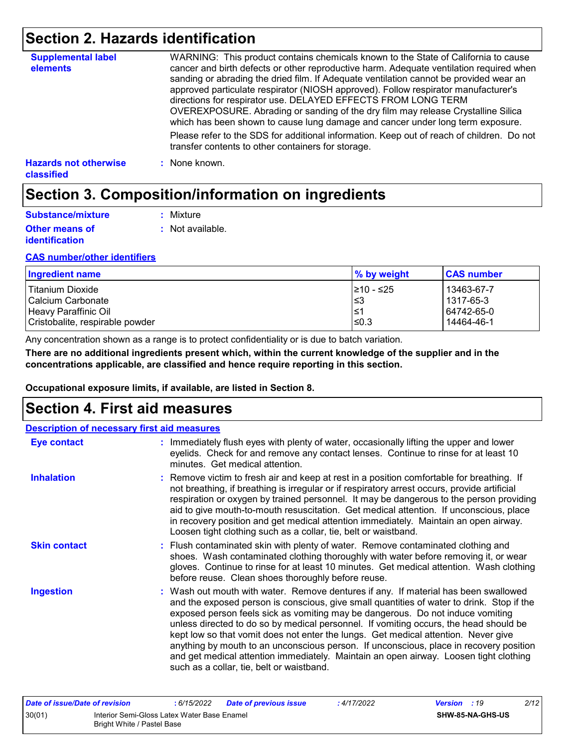### **Section 2. Hazards identification**

| <b>Supplemental label</b><br>elements      | WARNING: This product contains chemicals known to the State of California to cause<br>cancer and birth defects or other reproductive harm. Adequate ventilation required when<br>sanding or abrading the dried film. If Adequate ventilation cannot be provided wear an<br>approved particulate respirator (NIOSH approved). Follow respirator manufacturer's<br>directions for respirator use. DELAYED EFFECTS FROM LONG TERM<br>OVEREXPOSURE. Abrading or sanding of the dry film may release Crystalline Silica<br>which has been shown to cause lung damage and cancer under long term exposure. |
|--------------------------------------------|------------------------------------------------------------------------------------------------------------------------------------------------------------------------------------------------------------------------------------------------------------------------------------------------------------------------------------------------------------------------------------------------------------------------------------------------------------------------------------------------------------------------------------------------------------------------------------------------------|
|                                            | Please refer to the SDS for additional information. Keep out of reach of children. Do not<br>transfer contents to other containers for storage.                                                                                                                                                                                                                                                                                                                                                                                                                                                      |
| <b>Hazards not otherwise</b><br>classified | : None known.                                                                                                                                                                                                                                                                                                                                                                                                                                                                                                                                                                                        |

## **Section 3. Composition/information on ingredients**

| Substance/mixture                              | : Mixture        |
|------------------------------------------------|------------------|
| <b>Other means of</b><br><i>identification</i> | : Not available. |

#### **CAS number/other identifiers**

| Ingredient name                 | % by weight | <b>CAS number</b> |
|---------------------------------|-------------|-------------------|
| Titanium Dioxide                | 1≥10 - ≤25  | 13463-67-7        |
| l Calcium Carbonate             | l≤3         | l 1317-65-3       |
| Heavy Paraffinic Oil            | 1≥ا         | 64742-65-0        |
| Cristobalite, respirable powder | l≤0.3       | 14464-46-1        |

Any concentration shown as a range is to protect confidentiality or is due to batch variation.

**There are no additional ingredients present which, within the current knowledge of the supplier and in the concentrations applicable, are classified and hence require reporting in this section.**

**Occupational exposure limits, if available, are listed in Section 8.**

### **Section 4. First aid measures**

| <b>Description of necessary first aid measures</b> |                                                                                                                                                                                                                                                                                                                                                                                                                                                                                                                                                                                                                                                                                   |
|----------------------------------------------------|-----------------------------------------------------------------------------------------------------------------------------------------------------------------------------------------------------------------------------------------------------------------------------------------------------------------------------------------------------------------------------------------------------------------------------------------------------------------------------------------------------------------------------------------------------------------------------------------------------------------------------------------------------------------------------------|
| <b>Eye contact</b>                                 | : Immediately flush eyes with plenty of water, occasionally lifting the upper and lower<br>eyelids. Check for and remove any contact lenses. Continue to rinse for at least 10<br>minutes. Get medical attention.                                                                                                                                                                                                                                                                                                                                                                                                                                                                 |
| <b>Inhalation</b>                                  | : Remove victim to fresh air and keep at rest in a position comfortable for breathing. If<br>not breathing, if breathing is irregular or if respiratory arrest occurs, provide artificial<br>respiration or oxygen by trained personnel. It may be dangerous to the person providing<br>aid to give mouth-to-mouth resuscitation. Get medical attention. If unconscious, place<br>in recovery position and get medical attention immediately. Maintain an open airway.<br>Loosen tight clothing such as a collar, tie, belt or waistband.                                                                                                                                         |
| <b>Skin contact</b>                                | : Flush contaminated skin with plenty of water. Remove contaminated clothing and<br>shoes. Wash contaminated clothing thoroughly with water before removing it, or wear<br>gloves. Continue to rinse for at least 10 minutes. Get medical attention. Wash clothing<br>before reuse. Clean shoes thoroughly before reuse.                                                                                                                                                                                                                                                                                                                                                          |
| <b>Ingestion</b>                                   | : Wash out mouth with water. Remove dentures if any. If material has been swallowed<br>and the exposed person is conscious, give small quantities of water to drink. Stop if the<br>exposed person feels sick as vomiting may be dangerous. Do not induce vomiting<br>unless directed to do so by medical personnel. If vomiting occurs, the head should be<br>kept low so that vomit does not enter the lungs. Get medical attention. Never give<br>anything by mouth to an unconscious person. If unconscious, place in recovery position<br>and get medical attention immediately. Maintain an open airway. Loosen tight clothing<br>such as a collar, tie, belt or waistband. |

| Date of issue/Date of revision |                                                                           | : 6/15/2022 | <b>Date of previous issue</b> | : 4/17/2022 | <b>Version</b> : 19 |                         | 2/12 |
|--------------------------------|---------------------------------------------------------------------------|-------------|-------------------------------|-------------|---------------------|-------------------------|------|
| 30(01)                         | Interior Semi-Gloss Latex Water Base Enamel<br>Bright White / Pastel Base |             |                               |             |                     | <b>SHW-85-NA-GHS-US</b> |      |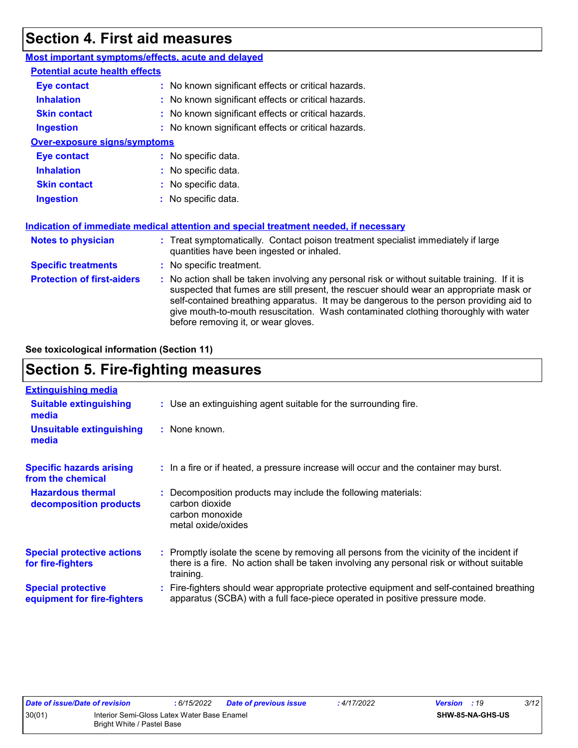### **Section 4. First aid measures**

| Most important symptoms/effects, acute and delayed |                                                                                                                                                                                                                                                                                                                                                                                                                 |
|----------------------------------------------------|-----------------------------------------------------------------------------------------------------------------------------------------------------------------------------------------------------------------------------------------------------------------------------------------------------------------------------------------------------------------------------------------------------------------|
| <b>Potential acute health effects</b>              |                                                                                                                                                                                                                                                                                                                                                                                                                 |
| <b>Eye contact</b>                                 | : No known significant effects or critical hazards.                                                                                                                                                                                                                                                                                                                                                             |
| <b>Inhalation</b>                                  | : No known significant effects or critical hazards.                                                                                                                                                                                                                                                                                                                                                             |
| <b>Skin contact</b>                                | : No known significant effects or critical hazards.                                                                                                                                                                                                                                                                                                                                                             |
| <b>Ingestion</b>                                   | : No known significant effects or critical hazards.                                                                                                                                                                                                                                                                                                                                                             |
| <b>Over-exposure signs/symptoms</b>                |                                                                                                                                                                                                                                                                                                                                                                                                                 |
| <b>Eye contact</b>                                 | : No specific data.                                                                                                                                                                                                                                                                                                                                                                                             |
| <b>Inhalation</b>                                  | : No specific data.                                                                                                                                                                                                                                                                                                                                                                                             |
| <b>Skin contact</b>                                | : No specific data.                                                                                                                                                                                                                                                                                                                                                                                             |
| <b>Ingestion</b>                                   | : No specific data.                                                                                                                                                                                                                                                                                                                                                                                             |
|                                                    | Indication of immediate medical attention and special treatment needed, if necessary                                                                                                                                                                                                                                                                                                                            |
| <b>Notes to physician</b>                          | : Treat symptomatically. Contact poison treatment specialist immediately if large<br>quantities have been ingested or inhaled.                                                                                                                                                                                                                                                                                  |
| <b>Specific treatments</b>                         | : No specific treatment.                                                                                                                                                                                                                                                                                                                                                                                        |
| <b>Protection of first-aiders</b>                  | : No action shall be taken involving any personal risk or without suitable training. If it is<br>suspected that fumes are still present, the rescuer should wear an appropriate mask or<br>self-contained breathing apparatus. It may be dangerous to the person providing aid to<br>give mouth-to-mouth resuscitation. Wash contaminated clothing thoroughly with water<br>before removing it, or wear gloves. |

**See toxicological information (Section 11)**

## **Section 5. Fire-fighting measures**

| <b>Extinguishing media</b>                               |                                                                                                                                                                                                     |
|----------------------------------------------------------|-----------------------------------------------------------------------------------------------------------------------------------------------------------------------------------------------------|
| <b>Suitable extinguishing</b><br>media                   | : Use an extinguishing agent suitable for the surrounding fire.                                                                                                                                     |
| <b>Unsuitable extinguishing</b><br>media                 | : None known.                                                                                                                                                                                       |
| <b>Specific hazards arising</b><br>from the chemical     | : In a fire or if heated, a pressure increase will occur and the container may burst.                                                                                                               |
| <b>Hazardous thermal</b><br>decomposition products       | Decomposition products may include the following materials:<br>carbon dioxide<br>carbon monoxide<br>metal oxide/oxides                                                                              |
| <b>Special protective actions</b><br>for fire-fighters   | : Promptly isolate the scene by removing all persons from the vicinity of the incident if<br>there is a fire. No action shall be taken involving any personal risk or without suitable<br>training. |
| <b>Special protective</b><br>equipment for fire-fighters | : Fire-fighters should wear appropriate protective equipment and self-contained breathing<br>apparatus (SCBA) with a full face-piece operated in positive pressure mode.                            |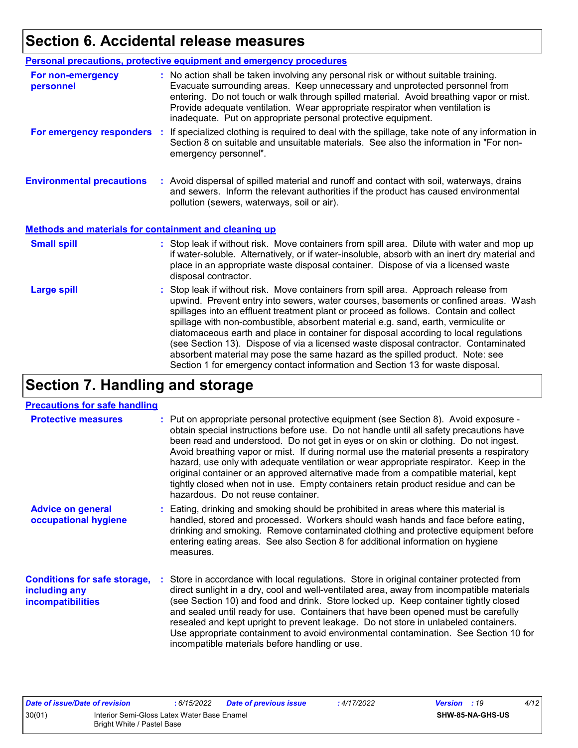## **Section 6. Accidental release measures**

|                                                              | <b>Personal precautions, protective equipment and emergency procedures</b>                                                                                                                                                                                                                                                                                                                                                                                                                                                                                                                                                                                                                                   |
|--------------------------------------------------------------|--------------------------------------------------------------------------------------------------------------------------------------------------------------------------------------------------------------------------------------------------------------------------------------------------------------------------------------------------------------------------------------------------------------------------------------------------------------------------------------------------------------------------------------------------------------------------------------------------------------------------------------------------------------------------------------------------------------|
| For non-emergency<br>personnel                               | : No action shall be taken involving any personal risk or without suitable training.<br>Evacuate surrounding areas. Keep unnecessary and unprotected personnel from<br>entering. Do not touch or walk through spilled material. Avoid breathing vapor or mist.<br>Provide adequate ventilation. Wear appropriate respirator when ventilation is<br>inadequate. Put on appropriate personal protective equipment.                                                                                                                                                                                                                                                                                             |
| For emergency responders                                     | : If specialized clothing is required to deal with the spillage, take note of any information in<br>Section 8 on suitable and unsuitable materials. See also the information in "For non-<br>emergency personnel".                                                                                                                                                                                                                                                                                                                                                                                                                                                                                           |
| <b>Environmental precautions</b>                             | : Avoid dispersal of spilled material and runoff and contact with soil, waterways, drains<br>and sewers. Inform the relevant authorities if the product has caused environmental<br>pollution (sewers, waterways, soil or air).                                                                                                                                                                                                                                                                                                                                                                                                                                                                              |
| <b>Methods and materials for containment and cleaning up</b> |                                                                                                                                                                                                                                                                                                                                                                                                                                                                                                                                                                                                                                                                                                              |
| <b>Small spill</b>                                           | : Stop leak if without risk. Move containers from spill area. Dilute with water and mop up<br>if water-soluble. Alternatively, or if water-insoluble, absorb with an inert dry material and<br>place in an appropriate waste disposal container. Dispose of via a licensed waste<br>disposal contractor.                                                                                                                                                                                                                                                                                                                                                                                                     |
| <b>Large spill</b>                                           | : Stop leak if without risk. Move containers from spill area. Approach release from<br>upwind. Prevent entry into sewers, water courses, basements or confined areas. Wash<br>spillages into an effluent treatment plant or proceed as follows. Contain and collect<br>spillage with non-combustible, absorbent material e.g. sand, earth, vermiculite or<br>diatomaceous earth and place in container for disposal according to local regulations<br>(see Section 13). Dispose of via a licensed waste disposal contractor. Contaminated<br>absorbent material may pose the same hazard as the spilled product. Note: see<br>Section 1 for emergency contact information and Section 13 for waste disposal. |

## **Section 7. Handling and storage**

#### **Precautions for safe handling**

| <b>Protective measures</b>                                                       | : Put on appropriate personal protective equipment (see Section 8). Avoid exposure -<br>obtain special instructions before use. Do not handle until all safety precautions have<br>been read and understood. Do not get in eyes or on skin or clothing. Do not ingest.<br>Avoid breathing vapor or mist. If during normal use the material presents a respiratory<br>hazard, use only with adequate ventilation or wear appropriate respirator. Keep in the<br>original container or an approved alternative made from a compatible material, kept<br>tightly closed when not in use. Empty containers retain product residue and can be<br>hazardous. Do not reuse container. |
|----------------------------------------------------------------------------------|--------------------------------------------------------------------------------------------------------------------------------------------------------------------------------------------------------------------------------------------------------------------------------------------------------------------------------------------------------------------------------------------------------------------------------------------------------------------------------------------------------------------------------------------------------------------------------------------------------------------------------------------------------------------------------|
| <b>Advice on general</b><br>occupational hygiene                                 | : Eating, drinking and smoking should be prohibited in areas where this material is<br>handled, stored and processed. Workers should wash hands and face before eating,<br>drinking and smoking. Remove contaminated clothing and protective equipment before<br>entering eating areas. See also Section 8 for additional information on hygiene<br>measures.                                                                                                                                                                                                                                                                                                                  |
| <b>Conditions for safe storage,</b><br>including any<br><b>incompatibilities</b> | Store in accordance with local regulations. Store in original container protected from<br>direct sunlight in a dry, cool and well-ventilated area, away from incompatible materials<br>(see Section 10) and food and drink. Store locked up. Keep container tightly closed<br>and sealed until ready for use. Containers that have been opened must be carefully<br>resealed and kept upright to prevent leakage. Do not store in unlabeled containers.<br>Use appropriate containment to avoid environmental contamination. See Section 10 for<br>incompatible materials before handling or use.                                                                              |

| Date of issue/Date of revision |                                                                           | : 6/15/2022 | <b>Date of previous issue</b> | : 4/17/2022 | <b>Version</b> : 19 |                         | 4/12 |
|--------------------------------|---------------------------------------------------------------------------|-------------|-------------------------------|-------------|---------------------|-------------------------|------|
| 30(01)                         | Interior Semi-Gloss Latex Water Base Enamel<br>Bright White / Pastel Base |             |                               |             |                     | <b>SHW-85-NA-GHS-US</b> |      |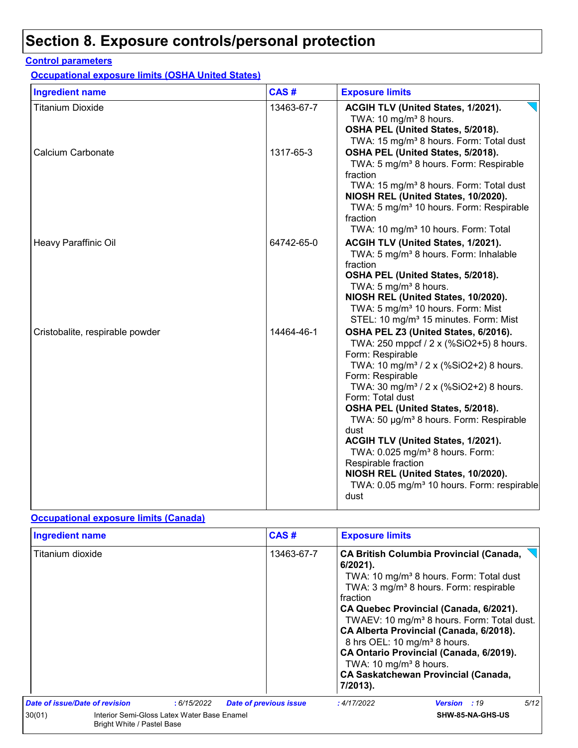## **Section 8. Exposure controls/personal protection**

#### **Control parameters**

**Occupational exposure limits (OSHA United States)**

| <b>Ingredient name</b>          | CAS#       | <b>Exposure limits</b>                                                                                                                                                                                                                                                                                                                                                                                                                                                                                                                                                           |
|---------------------------------|------------|----------------------------------------------------------------------------------------------------------------------------------------------------------------------------------------------------------------------------------------------------------------------------------------------------------------------------------------------------------------------------------------------------------------------------------------------------------------------------------------------------------------------------------------------------------------------------------|
| <b>Titanium Dioxide</b>         | 13463-67-7 | ACGIH TLV (United States, 1/2021).<br>TWA: 10 mg/m <sup>3</sup> 8 hours.<br>OSHA PEL (United States, 5/2018).<br>TWA: 15 mg/m <sup>3</sup> 8 hours. Form: Total dust                                                                                                                                                                                                                                                                                                                                                                                                             |
| Calcium Carbonate               | 1317-65-3  | OSHA PEL (United States, 5/2018).<br>TWA: 5 mg/m <sup>3</sup> 8 hours. Form: Respirable<br>fraction<br>TWA: 15 mg/m <sup>3</sup> 8 hours. Form: Total dust<br>NIOSH REL (United States, 10/2020).<br>TWA: 5 mg/m <sup>3</sup> 10 hours. Form: Respirable<br>fraction<br>TWA: 10 mg/m <sup>3</sup> 10 hours. Form: Total                                                                                                                                                                                                                                                          |
| Heavy Paraffinic Oil            | 64742-65-0 | ACGIH TLV (United States, 1/2021).<br>TWA: 5 mg/m <sup>3</sup> 8 hours. Form: Inhalable<br>fraction<br>OSHA PEL (United States, 5/2018).<br>TWA: 5 mg/m <sup>3</sup> 8 hours.<br>NIOSH REL (United States, 10/2020).<br>TWA: 5 mg/m <sup>3</sup> 10 hours. Form: Mist<br>STEL: 10 mg/m <sup>3</sup> 15 minutes. Form: Mist                                                                                                                                                                                                                                                       |
| Cristobalite, respirable powder | 14464-46-1 | OSHA PEL Z3 (United States, 6/2016).<br>TWA: 250 mppcf / 2 x (%SiO2+5) 8 hours.<br>Form: Respirable<br>TWA: 10 mg/m <sup>3</sup> / 2 x (%SiO2+2) 8 hours.<br>Form: Respirable<br>TWA: 30 mg/m <sup>3</sup> / 2 x (%SiO2+2) 8 hours.<br>Form: Total dust<br>OSHA PEL (United States, 5/2018).<br>TWA: 50 µg/m <sup>3</sup> 8 hours. Form: Respirable<br>dust<br>ACGIH TLV (United States, 1/2021).<br>TWA: 0.025 mg/m <sup>3</sup> 8 hours. Form:<br>Respirable fraction<br>NIOSH REL (United States, 10/2020).<br>TWA: 0.05 mg/m <sup>3</sup> 10 hours. Form: respirable<br>dust |

#### **Occupational exposure limits (Canada)**

| <b>Ingredient name</b>         |                                                                           |            |                               | CAS#       | <b>Exposure limits</b>                                                                                             |                                                                                                                                                                                                                                                                                                                                                                                                     |      |  |
|--------------------------------|---------------------------------------------------------------------------|------------|-------------------------------|------------|--------------------------------------------------------------------------------------------------------------------|-----------------------------------------------------------------------------------------------------------------------------------------------------------------------------------------------------------------------------------------------------------------------------------------------------------------------------------------------------------------------------------------------------|------|--|
| Titanium dioxide               |                                                                           |            |                               | 13463-67-7 | 6/2021).<br>fraction<br>8 hrs OEL: 10 mg/m <sup>3</sup> 8 hours.<br>TWA: 10 mg/m <sup>3</sup> 8 hours.<br>7/2013). | <b>CA British Columbia Provincial (Canada,</b><br>TWA: 10 mg/m <sup>3</sup> 8 hours. Form: Total dust<br>TWA: 3 mg/m <sup>3</sup> 8 hours. Form: respirable<br>CA Quebec Provincial (Canada, 6/2021).<br>TWAEV: 10 mg/m <sup>3</sup> 8 hours. Form: Total dust.<br>CA Alberta Provincial (Canada, 6/2018).<br>CA Ontario Provincial (Canada, 6/2019).<br><b>CA Saskatchewan Provincial (Canada,</b> |      |  |
| Date of issue/Date of revision |                                                                           | :6/15/2022 | <b>Date of previous issue</b> |            | :4/17/2022                                                                                                         | <b>Version</b> : 19                                                                                                                                                                                                                                                                                                                                                                                 | 5/12 |  |
| 30(01)                         | Interior Semi-Gloss Latex Water Base Enamel<br>Bright White / Pastel Base |            |                               |            |                                                                                                                    | SHW-85-NA-GHS-US                                                                                                                                                                                                                                                                                                                                                                                    |      |  |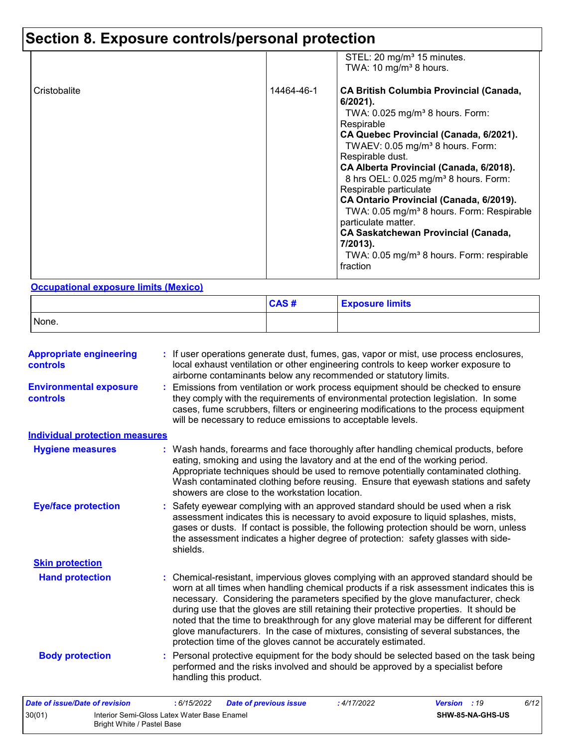## **Section 8. Exposure controls/personal protection**

|              |            | STEL: 20 mg/m <sup>3</sup> 15 minutes.<br>TWA: 10 mg/m <sup>3</sup> 8 hours.                                                                                                                                                                                                                                                                                                                                                                                                                                                                                                                                                   |
|--------------|------------|--------------------------------------------------------------------------------------------------------------------------------------------------------------------------------------------------------------------------------------------------------------------------------------------------------------------------------------------------------------------------------------------------------------------------------------------------------------------------------------------------------------------------------------------------------------------------------------------------------------------------------|
| Cristobalite | 14464-46-1 | <b>CA British Columbia Provincial (Canada,</b><br>$6/2021$ ).<br>TWA: $0.025$ mg/m <sup>3</sup> 8 hours. Form:<br>Respirable<br>CA Quebec Provincial (Canada, 6/2021).<br>TWAEV: 0.05 mg/m <sup>3</sup> 8 hours. Form:<br>Respirable dust.<br>CA Alberta Provincial (Canada, 6/2018).<br>8 hrs OEL: 0.025 mg/m <sup>3</sup> 8 hours. Form:<br>Respirable particulate<br>CA Ontario Provincial (Canada, 6/2019).<br>TWA: 0.05 mg/m <sup>3</sup> 8 hours. Form: Respirable<br>particulate matter.<br><b>CA Saskatchewan Provincial (Canada,</b><br>7/2013).<br>TWA: 0.05 mg/m <sup>3</sup> 8 hours. Form: respirable<br>fraction |

#### **Occupational exposure limits (Mexico)**

|       | CAS# | <b>Exposure limits</b> |
|-------|------|------------------------|
| None. |      |                        |

| <b>Appropriate engineering</b><br>controls  | : If user operations generate dust, fumes, gas, vapor or mist, use process enclosures,<br>local exhaust ventilation or other engineering controls to keep worker exposure to<br>airborne contaminants below any recommended or statutory limits.                                                                                                                                                                                                                                                                                                                                                                       |
|---------------------------------------------|------------------------------------------------------------------------------------------------------------------------------------------------------------------------------------------------------------------------------------------------------------------------------------------------------------------------------------------------------------------------------------------------------------------------------------------------------------------------------------------------------------------------------------------------------------------------------------------------------------------------|
| <b>Environmental exposure</b><br>controls   | : Emissions from ventilation or work process equipment should be checked to ensure<br>they comply with the requirements of environmental protection legislation. In some<br>cases, fume scrubbers, filters or engineering modifications to the process equipment<br>will be necessary to reduce emissions to acceptable levels.                                                                                                                                                                                                                                                                                        |
| <b>Individual protection measures</b>       |                                                                                                                                                                                                                                                                                                                                                                                                                                                                                                                                                                                                                        |
| <b>Hygiene measures</b>                     | : Wash hands, forearms and face thoroughly after handling chemical products, before<br>eating, smoking and using the lavatory and at the end of the working period.<br>Appropriate techniques should be used to remove potentially contaminated clothing.<br>Wash contaminated clothing before reusing. Ensure that eyewash stations and safety<br>showers are close to the workstation location.                                                                                                                                                                                                                      |
| <b>Eye/face protection</b>                  | : Safety eyewear complying with an approved standard should be used when a risk<br>assessment indicates this is necessary to avoid exposure to liquid splashes, mists,<br>gases or dusts. If contact is possible, the following protection should be worn, unless<br>the assessment indicates a higher degree of protection: safety glasses with side-<br>shields.                                                                                                                                                                                                                                                     |
| <b>Skin protection</b>                      |                                                                                                                                                                                                                                                                                                                                                                                                                                                                                                                                                                                                                        |
| <b>Hand protection</b>                      | : Chemical-resistant, impervious gloves complying with an approved standard should be<br>worn at all times when handling chemical products if a risk assessment indicates this is<br>necessary. Considering the parameters specified by the glove manufacturer, check<br>during use that the gloves are still retaining their protective properties. It should be<br>noted that the time to breakthrough for any glove material may be different for different<br>glove manufacturers. In the case of mixtures, consisting of several substances, the<br>protection time of the gloves cannot be accurately estimated. |
| <b>Body protection</b>                      | : Personal protective equipment for the body should be selected based on the task being<br>performed and the risks involved and should be approved by a specialist before<br>handling this product.                                                                                                                                                                                                                                                                                                                                                                                                                    |
| <b>Date of issue/Date of revision</b>       | 6/12<br>: 6/15/2022<br><b>Date of previous issue</b><br>: 4/17/2022<br>Version : 19                                                                                                                                                                                                                                                                                                                                                                                                                                                                                                                                    |
| 30(01)<br><b>Bright White / Pastel Base</b> | Interior Semi-Gloss Latex Water Base Enamel<br>SHW-85-NA-GHS-US                                                                                                                                                                                                                                                                                                                                                                                                                                                                                                                                                        |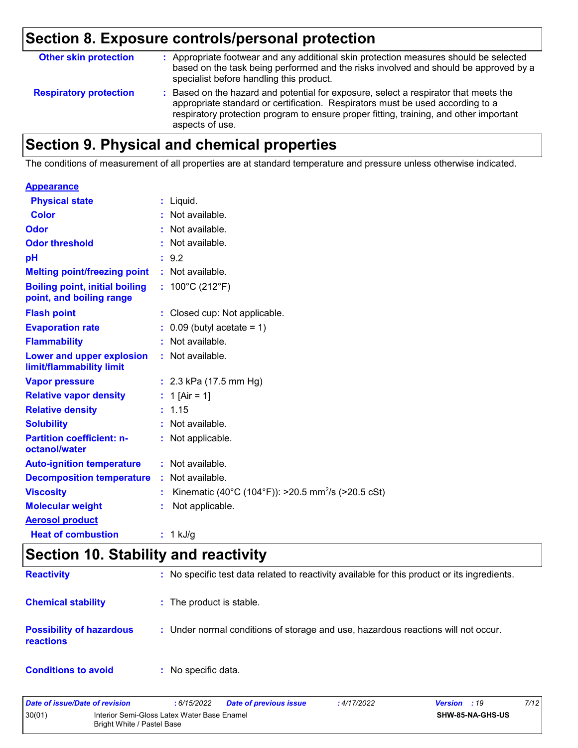## **Section 8. Exposure controls/personal protection**

| <b>Other skin protection</b>  | : Appropriate footwear and any additional skin protection measures should be selected<br>based on the task being performed and the risks involved and should be approved by a<br>specialist before handling this product.                                                           |
|-------------------------------|-------------------------------------------------------------------------------------------------------------------------------------------------------------------------------------------------------------------------------------------------------------------------------------|
| <b>Respiratory protection</b> | : Based on the hazard and potential for exposure, select a respirator that meets the<br>appropriate standard or certification. Respirators must be used according to a<br>respiratory protection program to ensure proper fitting, training, and other important<br>aspects of use. |

## **Section 9. Physical and chemical properties**

The conditions of measurement of all properties are at standard temperature and pressure unless otherwise indicated.

| <b>Appearance</b>                                                 |                                                                |
|-------------------------------------------------------------------|----------------------------------------------------------------|
| <b>Physical state</b>                                             | : Liquid.                                                      |
| <b>Color</b>                                                      | : Not available.                                               |
| Odor                                                              | : Not available.                                               |
| <b>Odor threshold</b>                                             | : Not available.                                               |
| pH                                                                | : 9.2                                                          |
| <b>Melting point/freezing point</b>                               | : Not available.                                               |
| <b>Boiling point, initial boiling</b><br>point, and boiling range | : $100^{\circ}$ C (212 $^{\circ}$ F)                           |
| <b>Flash point</b>                                                | : Closed cup: Not applicable.                                  |
| <b>Evaporation rate</b>                                           | $0.09$ (butyl acetate = 1)                                     |
| <b>Flammability</b>                                               | : Not available.                                               |
| Lower and upper explosion<br>limit/flammability limit             | : Not available.                                               |
| <b>Vapor pressure</b>                                             | : $2.3$ kPa (17.5 mm Hg)                                       |
| <b>Relative vapor density</b>                                     | : 1 [Air = 1]                                                  |
| <b>Relative density</b>                                           | : 1.15                                                         |
| <b>Solubility</b>                                                 | : Not available.                                               |
| <b>Partition coefficient: n-</b><br>octanol/water                 | : Not applicable.                                              |
| <b>Auto-ignition temperature</b>                                  | : Not available.                                               |
| <b>Decomposition temperature</b>                                  | : Not available.                                               |
| <b>Viscosity</b>                                                  | Kinematic (40°C (104°F)): >20.5 mm <sup>2</sup> /s (>20.5 cSt) |
| <b>Molecular weight</b>                                           | Not applicable.                                                |
| <b>Aerosol product</b>                                            |                                                                |
| <b>Heat of combustion</b>                                         | $: 1$ kJ/g                                                     |

## **Section 10. Stability and reactivity**

| <b>Reactivity</b>                            | : No specific test data related to reactivity available for this product or its ingredients. |
|----------------------------------------------|----------------------------------------------------------------------------------------------|
| <b>Chemical stability</b>                    | : The product is stable.                                                                     |
| <b>Possibility of hazardous</b><br>reactions | : Under normal conditions of storage and use, hazardous reactions will not occur.            |
| <b>Conditions to avoid</b>                   | : No specific data.                                                                          |

| Date of issue/Date of revision                                                      |  | : 6/15/2022 | <b>Date of previous issue</b> | : 4/17/2022             | <b>Version</b> : 19 | 7/12 |
|-------------------------------------------------------------------------------------|--|-------------|-------------------------------|-------------------------|---------------------|------|
| 30(01)<br>Interior Semi-Gloss Latex Water Base Enamel<br>Bright White / Pastel Base |  |             |                               | <b>SHW-85-NA-GHS-US</b> |                     |      |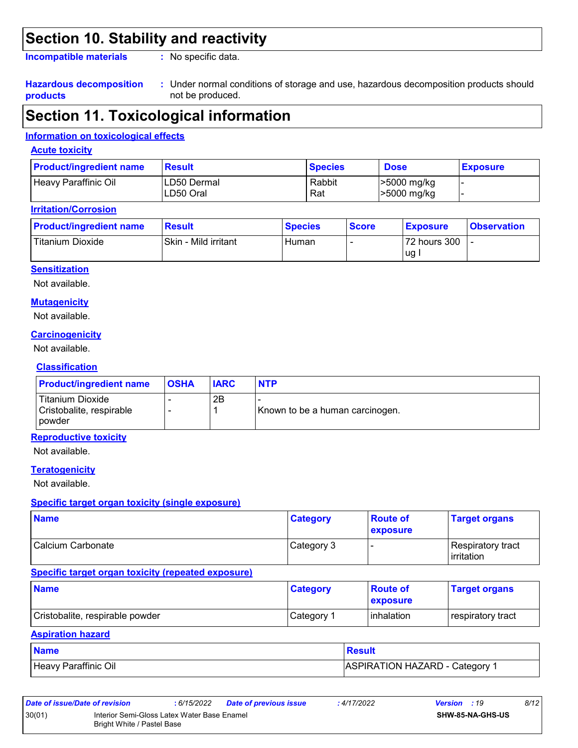### **Section 10. Stability and reactivity**

**Incompatible materials :**

: No specific data.

#### **Hazardous decomposition products**

Under normal conditions of storage and use, hazardous decomposition products should **:** not be produced.

## **Section 11. Toxicological information**

#### **Information on toxicological effects**

#### **Acute toxicity**

| <b>Product/ingredient name</b> | <b>Result</b>             | <b>Species</b> | <b>Dose</b>                | <b>Exposure</b> |
|--------------------------------|---------------------------|----------------|----------------------------|-----------------|
| Heavy Paraffinic Oil           | ILD50 Dermal<br>LD50 Oral | Rabbit<br>Rat  | >5000 mg/kg<br>>5000 mg/kg |                 |

#### **Irritation/Corrosion**

| <b>Product/ingredient name</b> | <b>Result</b>        | <b>Species</b> | <b>Score</b> | <b>Exposure</b>    | <b>Observation</b> |
|--------------------------------|----------------------|----------------|--------------|--------------------|--------------------|
| Titanium Dioxide               | Skin - Mild irritant | Human          |              | 72 hours 300<br>ug |                    |

#### **Sensitization**

Not available.

#### **Mutagenicity**

Not available.

#### **Carcinogenicity**

Not available.

#### **Classification**

| <b>Product/ingredient name</b>                                | <b>OSHA</b> | <b>IARC</b> | <b>NTP</b>                      |
|---------------------------------------------------------------|-------------|-------------|---------------------------------|
| Titanium Dioxide<br>Cristobalite, respirable<br><b>powder</b> |             | 2B          | Known to be a human carcinogen. |

#### **Reproductive toxicity**

Not available.

#### **Teratogenicity**

Not available.

#### **Specific target organ toxicity (single exposure)**

| <b>Name</b>       | <b>Category</b> | <b>Route of</b><br><b>exposure</b> | <b>Target organs</b>               |
|-------------------|-----------------|------------------------------------|------------------------------------|
| Calcium Carbonate | Category 3      |                                    | Respiratory tract_<br>l irritation |

#### **Specific target organ toxicity (repeated exposure)**

| <b>Name</b>                     | <b>Category</b> | <b>Route of</b><br><b>Lexposure</b> | <b>Target organs</b> |
|---------------------------------|-----------------|-------------------------------------|----------------------|
| Cristobalite, respirable powder | Category 1      | I inhalation                        | respiratory tract    |

#### **Aspiration hazard**

| <b>Name</b>          | <b>Result</b>                |
|----------------------|------------------------------|
| Heavy Paraffinic Oil | ASPIRATION HAZARD - Category |

| Date of issue/Date of revision |                                                                           | : 6/15/2022 | <b>Date of previous issue</b> | : 4/17/2022 | <b>Version</b> : 19     | 8/12 |
|--------------------------------|---------------------------------------------------------------------------|-------------|-------------------------------|-------------|-------------------------|------|
| 30(01)                         | Interior Semi-Gloss Latex Water Base Enamel<br>Bright White / Pastel Base |             |                               |             | <b>SHW-85-NA-GHS-US</b> |      |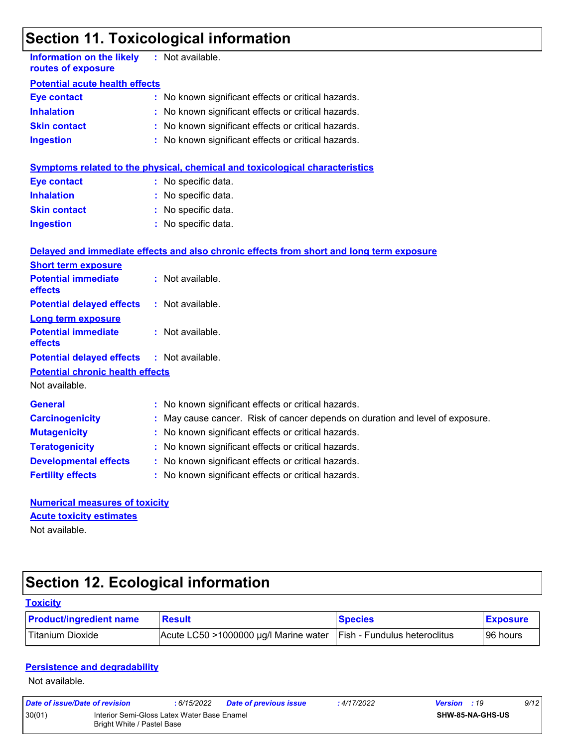## **Section 11. Toxicological information**

| <b>Information on the likely</b><br>routes of exposure    | : Not available.                                                                         |
|-----------------------------------------------------------|------------------------------------------------------------------------------------------|
| <b>Potential acute health effects</b>                     |                                                                                          |
| <b>Eye contact</b>                                        | : No known significant effects or critical hazards.                                      |
| <b>Inhalation</b>                                         | : No known significant effects or critical hazards.                                      |
| <b>Skin contact</b>                                       | No known significant effects or critical hazards.                                        |
| <b>Ingestion</b>                                          | : No known significant effects or critical hazards.                                      |
|                                                           | <b>Symptoms related to the physical, chemical and toxicological characteristics</b>      |
| <b>Eye contact</b>                                        | : No specific data.                                                                      |
| <b>Inhalation</b>                                         | : No specific data.                                                                      |
| <b>Skin contact</b>                                       | : No specific data.                                                                      |
| <b>Ingestion</b>                                          | : No specific data.                                                                      |
|                                                           | Delayed and immediate effects and also chronic effects from short and long term exposure |
| <b>Short term exposure</b>                                |                                                                                          |
| <b>Potential immediate</b><br>effects                     | : Not available.                                                                         |
| <b>Potential delayed effects</b>                          | : Not available.                                                                         |
| <b>Long term exposure</b>                                 |                                                                                          |
| <b>Potential immediate</b><br>effects                     | : Not available.                                                                         |
| <b>Potential delayed effects</b>                          | : Not available.                                                                         |
| <b>Potential chronic health effects</b><br>Not available. |                                                                                          |
| <b>General</b>                                            | : No known significant effects or critical hazards.                                      |
| <b>Carcinogenicity</b>                                    | : May cause cancer. Risk of cancer depends on duration and level of exposure.            |
| <b>Mutagenicity</b>                                       | No known significant effects or critical hazards.                                        |
| <b>Teratogenicity</b>                                     | : No known significant effects or critical hazards.                                      |
| <b>Developmental effects</b>                              | : No known significant effects or critical hazards.                                      |
| <b>Fertility effects</b>                                  | : No known significant effects or critical hazards.                                      |
| <b>Numerical measures of toxicity</b>                     |                                                                                          |
| <b>Acute toxicity estimates</b>                           |                                                                                          |
| Not available.                                            |                                                                                          |

# **Section 12. Ecological information**

| <b>Toxicity</b>                |                                       |                                      |                 |
|--------------------------------|---------------------------------------|--------------------------------------|-----------------|
| <b>Product/ingredient name</b> | <b>Result</b>                         | <b>Species</b>                       | <b>Exposure</b> |
| l Titanium Dioxide             | Acute LC50 >1000000 µg/l Marine water | <b>IFish - Fundulus heteroclitus</b> | 96 hours        |

#### **Persistence and degradability**

Not available.

| Date of issue/Date of revision |                                                                           | : 6/15/2022 | <b>Date of previous issue</b> | : 4/17/2022 | <b>Version</b> : 19 |                         | 9/12 |
|--------------------------------|---------------------------------------------------------------------------|-------------|-------------------------------|-------------|---------------------|-------------------------|------|
| 30(01)                         | Interior Semi-Gloss Latex Water Base Enamel<br>Bright White / Pastel Base |             |                               |             |                     | <b>SHW-85-NA-GHS-US</b> |      |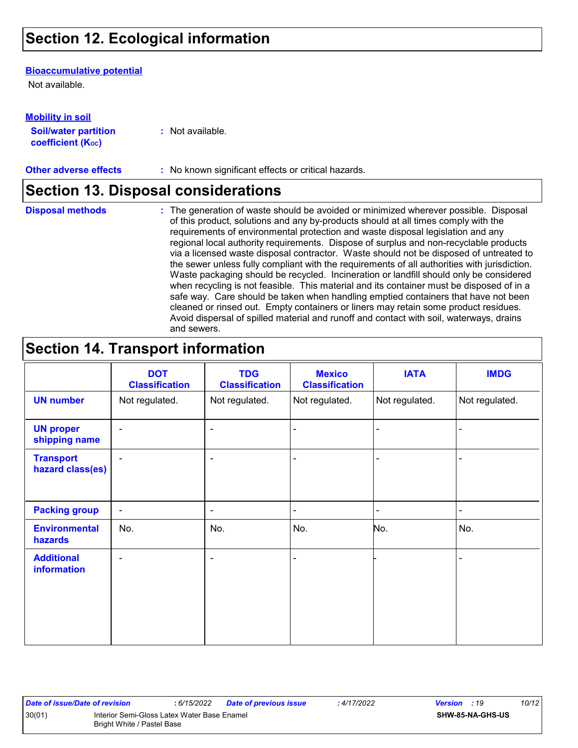## **Section 12. Ecological information**

#### **Bioaccumulative potential**

Not available.

**Mobility in soil**

| INVWIIILY III JVII          |                  |
|-----------------------------|------------------|
| <b>Soil/water partition</b> | : Not available. |
| <b>coefficient (Koc)</b>    |                  |

**Other adverse effects** : No known significant effects or critical hazards.

### **Section 13. Disposal considerations**

**Disposal methods :**

The generation of waste should be avoided or minimized wherever possible. Disposal of this product, solutions and any by-products should at all times comply with the requirements of environmental protection and waste disposal legislation and any regional local authority requirements. Dispose of surplus and non-recyclable products via a licensed waste disposal contractor. Waste should not be disposed of untreated to the sewer unless fully compliant with the requirements of all authorities with jurisdiction. Waste packaging should be recycled. Incineration or landfill should only be considered when recycling is not feasible. This material and its container must be disposed of in a safe way. Care should be taken when handling emptied containers that have not been cleaned or rinsed out. Empty containers or liners may retain some product residues. Avoid dispersal of spilled material and runoff and contact with soil, waterways, drains and sewers.

### **Section 14. Transport information**

|                                      | <b>DOT</b><br><b>Classification</b> | <b>TDG</b><br><b>Classification</b> | <b>Mexico</b><br><b>Classification</b> | <b>IATA</b>    | <b>IMDG</b>    |
|--------------------------------------|-------------------------------------|-------------------------------------|----------------------------------------|----------------|----------------|
| <b>UN number</b>                     | Not regulated.                      | Not regulated.                      | Not regulated.                         | Not regulated. | Not regulated. |
| <b>UN proper</b><br>shipping name    | $\blacksquare$                      | $\blacksquare$                      |                                        |                |                |
| <b>Transport</b><br>hazard class(es) | $\blacksquare$                      | $\overline{\phantom{a}}$            |                                        |                |                |
| <b>Packing group</b>                 | $\overline{\phantom{a}}$            | ۰                                   | $\blacksquare$                         |                |                |
| <b>Environmental</b><br>hazards      | No.                                 | No.                                 | No.                                    | No.            | No.            |
| <b>Additional</b><br>information     | $\blacksquare$                      | $\blacksquare$                      | $\blacksquare$                         |                |                |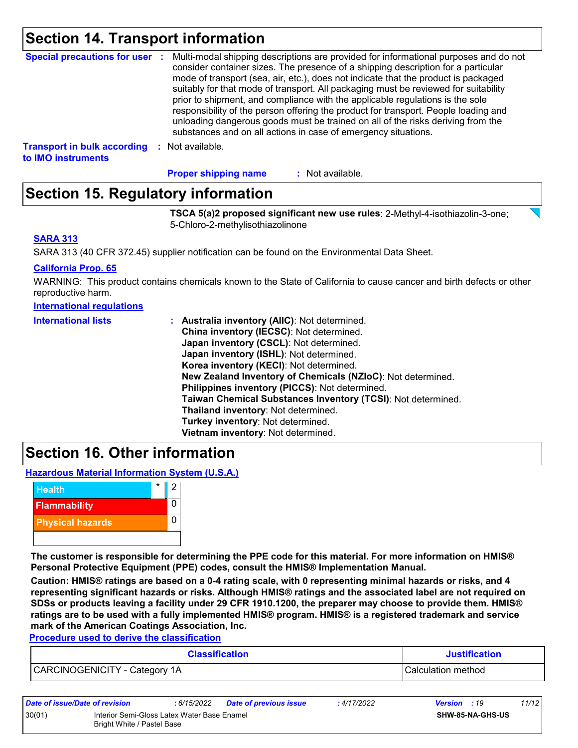### **Section 14. Transport information**

| Special precautions for user :                                            | Multi-modal shipping descriptions are provided for informational purposes and do not<br>consider container sizes. The presence of a shipping description for a particular<br>mode of transport (sea, air, etc.), does not indicate that the product is packaged<br>suitably for that mode of transport. All packaging must be reviewed for suitability<br>prior to shipment, and compliance with the applicable regulations is the sole<br>responsibility of the person offering the product for transport. People loading and<br>unloading dangerous goods must be trained on all of the risks deriving from the<br>substances and on all actions in case of emergency situations. |
|---------------------------------------------------------------------------|-------------------------------------------------------------------------------------------------------------------------------------------------------------------------------------------------------------------------------------------------------------------------------------------------------------------------------------------------------------------------------------------------------------------------------------------------------------------------------------------------------------------------------------------------------------------------------------------------------------------------------------------------------------------------------------|
| <b>Transport in bulk according : Not available.</b><br>to IMO instruments |                                                                                                                                                                                                                                                                                                                                                                                                                                                                                                                                                                                                                                                                                     |

: Not available. **Proper shipping name :**

## **Section 15. Regulatory information**

**TSCA 5(a)2 proposed significant new use rules**: 2-Methyl-4-isothiazolin-3-one; 5-Chloro-2-methylisothiazolinone

#### **SARA 313**

SARA 313 (40 CFR 372.45) supplier notification can be found on the Environmental Data Sheet.

#### **California Prop. 65**

WARNING: This product contains chemicals known to the State of California to cause cancer and birth defects or other reproductive harm.

#### **International regulations**

| <b>International lists</b> | : Australia inventory (AIIC): Not determined.                |
|----------------------------|--------------------------------------------------------------|
|                            | China inventory (IECSC): Not determined.                     |
|                            | Japan inventory (CSCL): Not determined.                      |
|                            | Japan inventory (ISHL): Not determined.                      |
|                            | Korea inventory (KECI): Not determined.                      |
|                            | New Zealand Inventory of Chemicals (NZIoC): Not determined.  |
|                            | Philippines inventory (PICCS): Not determined.               |
|                            | Taiwan Chemical Substances Inventory (TCSI): Not determined. |
|                            | Thailand inventory: Not determined.                          |
|                            | Turkey inventory: Not determined.                            |
|                            | Vietnam inventory: Not determined.                           |

### **Section 16. Other information**

**Hazardous Material Information System (U.S.A.)**



**The customer is responsible for determining the PPE code for this material. For more information on HMIS® Personal Protective Equipment (PPE) codes, consult the HMIS® Implementation Manual.**

**Caution: HMIS® ratings are based on a 0-4 rating scale, with 0 representing minimal hazards or risks, and 4 representing significant hazards or risks. Although HMIS® ratings and the associated label are not required on SDSs or products leaving a facility under 29 CFR 1910.1200, the preparer may choose to provide them. HMIS® ratings are to be used with a fully implemented HMIS® program. HMIS® is a registered trademark and service mark of the American Coatings Association, Inc.**

**Procedure used to derive the classification**

| <b>Classification</b>         | <b>Justification</b> |  |
|-------------------------------|----------------------|--|
| CARCINOGENICITY - Category 1A | ICalculation method  |  |

| Date of issue/Date of revision |                                                                           | : 6/15/2022 | <b>Date of previous issue</b> | : 4/17/2022 | <b>Version</b> : 19 |                         | 11/12 |
|--------------------------------|---------------------------------------------------------------------------|-------------|-------------------------------|-------------|---------------------|-------------------------|-------|
| 30(01)                         | Interior Semi-Gloss Latex Water Base Enamel<br>Bright White / Pastel Base |             |                               |             |                     | <b>SHW-85-NA-GHS-US</b> |       |